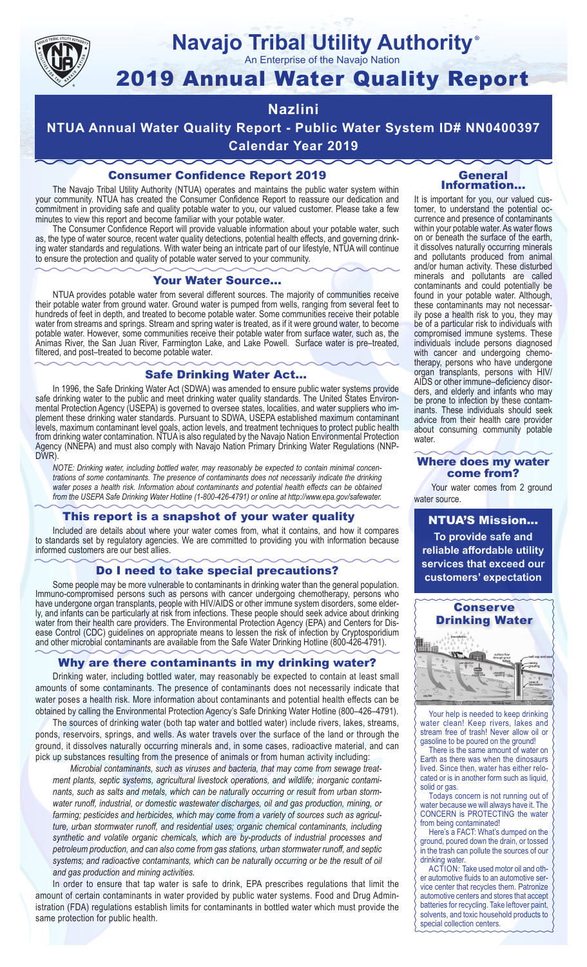

## **Navajo Tribal Utility Authority** ®

2019 Annual Water Quality Report An Enterprise of the Navajo Nation

# **Nazlini**

**NTUA Annual Water Quality Report - Public Water System ID# NN0400397 Calendar Year 2019**

# Consumer Confidence Report 2019

The Navajo Tribal Utility Authority (NTUA) operates and maintains the public water system within your community. NTUA has created the Consumer Confidence Report to reassure our dedication and commitment in providing safe and quality potable water to you, our valued customer. Please take a few minutes to view this report and become familiar with your potable water.

The Consumer Confidence Report will provide valuable information about your potable water, such as, the type of water source, recent water quality detections, potential health effects, and governing drinking water standards and regulations. With water being an intricate part of our lifestyle, NTUA will continue to ensure the protection and quality of potable water served to your community.

#### Your Water Source…

NTUA provides potable water from several different sources. The majority of communities receive their potable water from ground water. Ground water is pumped from wells, ranging from several feet to hundreds of feet in depth, and treated to become potable water. Some communities receive their potable water from streams and springs. Stream and spring water is treated, as if it were ground water, to become potable water. However, some communities receive their potable water from surface water, such as, the Animas River, the San Juan River, Farmington Lake, and Lake Powell. Surface water is pre–treated, filtered, and post–treated to become potable water.

### Safe Drinking Water Act…

In 1996, the Safe Drinking Water Act (SDWA) was amended to ensure public water systems provide safe drinking water to the public and meet drinking water quality standards. The United States Environmental Protection Agency (USEPA) is governed to oversee states, localities, and water suppliers who implement these drinking water standards. Pursuant to SDWA, USEPA established maximum contaminant levels, maximum contaminant level goals, action levels, and treatment techniques to protect public health from drinking water contamination. NTUA is also regulated by the Navajo Nation Environmental Protection Agency (NNEPA) and must also comply with Navajo Nation Primary Drinking Water Regulations (NNP-DWR)

*NOTE: Drinking water, including bottled water, may reasonably be expected to contain minimal concentrations of some contaminants. The presence of contaminants does not necessarily indicate the drinking water poses a health risk. Information about contaminants and potential health effects can be obtained from the USEPA Safe Drinking Water Hotline (1-800-426-4791) or online at http://www.epa.gov/safewater.*

## This report is a snapshot of your water quality

Included are details about where your water comes from, what it contains, and how it compares to standards set by regulatory agencies. We are committed to providing you with information because informed customers are our best allies.

## Do I need to take special precautions?

Some people may be more vulnerable to contaminants in drinking water than the general population. Immuno-compromised persons such as persons with cancer undergoing chemotherapy, persons who have undergone organ transplants, people with HIV/AIDS or other immune system disorders, some elderly, and infants can be particularly at risk from infections. These people should seek advice about drinking water from their health care providers. The Environmental Protection Agency (EPA) and Centers for Disease Control (CDC) guidelines on appropriate means to lessen the risk of infection by Cryptosporidium and other microbial contaminants are available from the Safe Water Drinking Hotline (800-426-4791).

## Why are there contaminants in my drinking water?

Drinking water, including bottled water, may reasonably be expected to contain at least small amounts of some contaminants. The presence of contaminants does not necessarily indicate that water poses a health risk. More information about contaminants and potential health effects can be obtained by calling the Environmental Protection Agency's Safe Drinking Water Hotline (800–426–4791).

The sources of drinking water (both tap water and bottled water) include rivers, lakes, streams, ponds, reservoirs, springs, and wells. As water travels over the surface of the land or through the ground, it dissolves naturally occurring minerals and, in some cases, radioactive material, and can pick up substances resulting from the presence of animals or from human activity including:

*Microbial contaminants, such as viruses and bacteria, that may come from sewage treatment plants, septic systems, agricultural livestock operations, and wildlife; inorganic contaminants, such as salts and metals, which can be naturally occurring or result from urban stormwater runoff, industrial, or domestic wastewater discharges, oil and gas production, mining, or farming; pesticides and herbicides, which may come from a variety of sources such as agriculture, urban stormwater runoff, and residential uses; organic chemical contaminants, including synthetic and volatile organic chemicals, which are by-products of industrial processes and petroleum production, and can also come from gas stations, urban stormwater runoff, and septic systems; and radioactive contaminants, which can be naturally occurring or be the result of oil and gas production and mining activities.*

In order to ensure that tap water is safe to drink, EPA prescribes regulations that limit the amount of certain contaminants in water provided by public water systems. Food and Drug Administration (FDA) regulations establish limits for contaminants in bottled water which must provide the same protection for public health.

#### General Information…

It is important for you, our valued customer, to understand the potential occurrence and presence of contaminants within your potable water. As water flows on or beneath the surface of the earth, it dissolves naturally occurring minerals and pollutants produced from animal and/or human activity. These disturbed minerals and pollutants are called contaminants and could potentially be found in your potable water. Although, these contaminants may not necessarily pose a health risk to you, they may be of a particular risk to individuals with compromised immune systems. These individuals include persons diagnosed with cancer and undergoing chemo-<br>therapy, persons who have undergone organ transplants, persons with HIV/ AIDS or other immune–deficiency disor- ders, and elderly and infants who may be prone to infection by these contam- inants. These individuals should seek advice from their health care provider about consuming community potable water.

#### Where does my water come from?

Your water comes from 2 ground water source.

NTUA'S Mission... **To provide safe and reliable affordable utility services that exceed our customers' expectation**



Your help is needed to keep drinking water clean! Keep rivers, lakes and stream free of trash! Never allow oil or gasoline to be poured on the ground!

There is the same amount of water on Earth as there was when the dinosaurs lived. Since then, water has either relocated or is in another form such as liquid, solid or gas.

Todays concern is not running out of water because we will always have it. The CONCERN is PROTECTING the water from being contaminated!

Here's a FACT: What's dumped on the ground, poured down the drain, or tossed in the trash can pollute the sources of our drinking water.

ACTION: Take used motor oil and other automotive fluids to an automotive service center that recycles them. Patronize automotive centers and stores that accept batteries for recycling. Take leftover paint, solvents, and toxic household products to special collection centers.